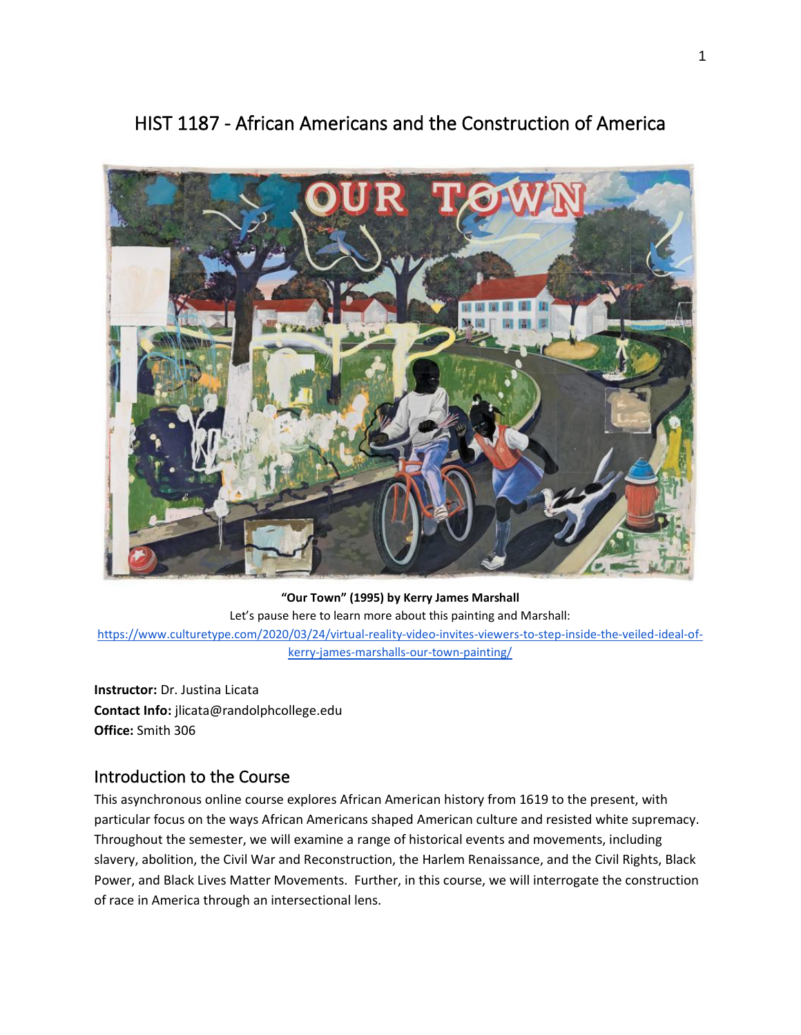

# HIST 1187 - African Americans and the Construction of America

**"Our Town" (1995) by Kerry James Marshall** Let's pause here to learn more about this painting and Marshall: [https://www.culturetype.com/2020/03/24/virtual-reality-video-invites-viewers-to-step-inside-the-veiled-ideal-of](https://www.culturetype.com/2020/03/24/virtual-reality-video-invites-viewers-to-step-inside-the-veiled-ideal-of-kerry-james-marshalls-our-town-painting/)[kerry-james-marshalls-our-town-painting/](https://www.culturetype.com/2020/03/24/virtual-reality-video-invites-viewers-to-step-inside-the-veiled-ideal-of-kerry-james-marshalls-our-town-painting/)

**Instructor:** Dr. Justina Licata **Contact Info:** jlicata@randolphcollege.edu **Office:** Smith 306

#### Introduction to the Course

This asynchronous online course explores African American history from 1619 to the present, with particular focus on the ways African Americans shaped American culture and resisted white supremacy. Throughout the semester, we will examine a range of historical events and movements, including slavery, abolition, the Civil War and Reconstruction, the Harlem Renaissance, and the Civil Rights, Black Power, and Black Lives Matter Movements. Further, in this course, we will interrogate the construction of race in America through an intersectional lens.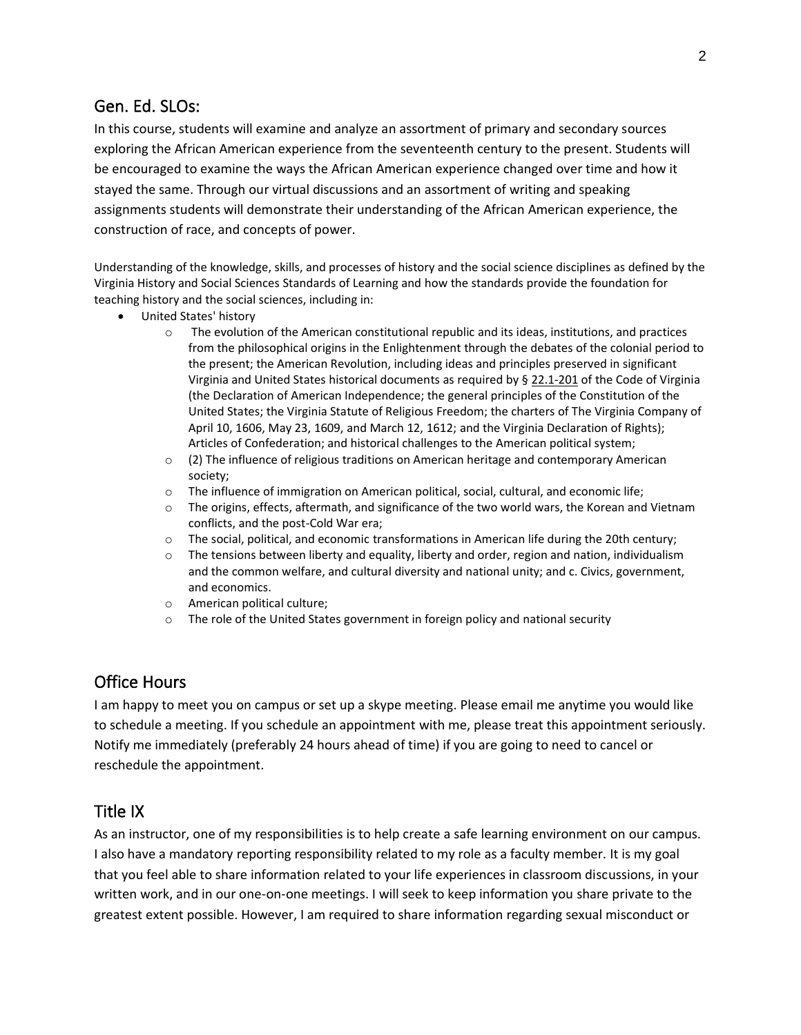#### Gen. Ed. SLOs:

In this course, students will examine and analyze an assortment of primary and secondary sources exploring the African American experience from the seventeenth century to the present. Students will be encouraged to examine the ways the African American experience changed over time and how it stayed the same. Through our virtual discussions and an assortment of writing and speaking assignments students will demonstrate their understanding of the African American experience, the construction of race, and concepts of power.

Understanding of the knowledge, skills, and processes of history and the social science disciplines as defined by the Virginia History and Social Sciences Standards of Learning and how the standards provide the foundation for teaching history and the social sciences, including in:

- United States' history
	- o The evolution of the American constitutional republic and its ideas, institutions, and practices from the philosophical origins in the Enlightenment through the debates of the colonial period to the present; the American Revolution, including ideas and principles preserved in significant Virginia and United States historical documents as required by § [22.1-201](https://law.lis.virginia.gov/vacode/22.1-201/) of the Code of Virginia (the Declaration of American Independence; the general principles of the Constitution of the United States; the Virginia Statute of Religious Freedom; the charters of The Virginia Company of April 10, 1606, May 23, 1609, and March 12, 1612; and the Virginia Declaration of Rights); Articles of Confederation; and historical challenges to the American political system;
	- o (2) The influence of religious traditions on American heritage and contemporary American society;
	- o The influence of immigration on American political, social, cultural, and economic life;
	- o The origins, effects, aftermath, and significance of the two world wars, the Korean and Vietnam conflicts, and the post-Cold War era;
	- $\circ$  The social, political, and economic transformations in American life during the 20th century;
	- $\circ$  The tensions between liberty and equality, liberty and order, region and nation, individualism and the common welfare, and cultural diversity and national unity; and c. Civics, government, and economics.
	- o American political culture;
	- o The role of the United States government in foreign policy and national security

### Office Hours

I am happy to meet you on campus or set up a skype meeting. Please email me anytime you would like to schedule a meeting. If you schedule an appointment with me, please treat this appointment seriously. Notify me immediately (preferably 24 hours ahead of time) if you are going to need to cancel or reschedule the appointment.

#### Title IX

As an instructor, one of my responsibilities is to help create a safe learning environment on our campus. I also have a mandatory reporting responsibility related to my role as a faculty member. It is my goal that you feel able to share information related to your life experiences in classroom discussions, in your written work, and in our one-on-one meetings. I will seek to keep information you share private to the greatest extent possible. However, I am required to share information regarding sexual misconduct or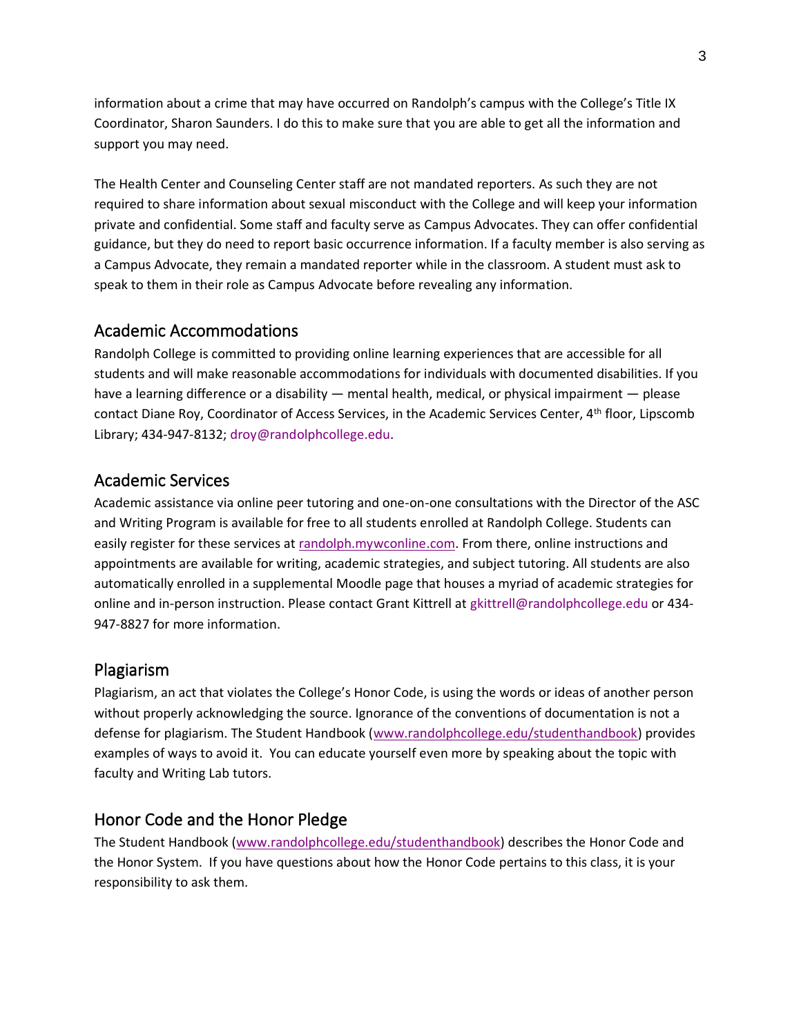information about a crime that may have occurred on Randolph's campus with the College's Title IX Coordinator, Sharon Saunders. I do this to make sure that you are able to get all the information and support you may need.

The Health Center and Counseling Center staff are not mandated reporters. As such they are not required to share information about sexual misconduct with the College and will keep your information private and confidential. Some staff and faculty serve as Campus Advocates. They can offer confidential guidance, but they do need to report basic occurrence information. If a faculty member is also serving as a Campus Advocate, they remain a mandated reporter while in the classroom. A student must ask to speak to them in their role as Campus Advocate before revealing any information.

#### Academic Accommodations

Randolph College is committed to providing online learning experiences that are accessible for all students and will make reasonable accommodations for individuals with documented disabilities. If you have a learning difference or a disability — mental health, medical, or physical impairment — please contact Diane Roy, Coordinator of Access Services, in the Academic Services Center, 4th floor, Lipscomb Library; 434-947-8132; droy@randolphcollege.edu.

#### Academic Services

Academic assistance via online peer tutoring and one-on-one consultations with the Director of the ASC and Writing Program is available for free to all students enrolled at Randolph College. Students can easily register for these services at [randolph.mywconline.com.](https://randolph.mywconline.com/) From there, online instructions and appointments are available for writing, academic strategies, and subject tutoring. All students are also automatically enrolled in a supplemental Moodle page that houses a myriad of academic strategies for online and in-person instruction. Please contact Grant Kittrell at gkittrell@randolphcollege.edu or 434- 947-8827 for more information.

#### Plagiarism

Plagiarism, an act that violates the College's Honor Code, is using the words or ideas of another person without properly acknowledging the source. Ignorance of the conventions of documentation is not a defense for plagiarism. The Student Handbook [\(www.randolphcollege.edu/studenthandbook\)](http://www.randolphcollege.edu/studenthandbook) provides examples of ways to avoid it. You can educate yourself even more by speaking about the topic with faculty and Writing Lab tutors.

#### Honor Code and the Honor Pledge

The Student Handbook [\(www.randolphcollege.edu/studenthandbook\)](http://www.randolphcollege.edu/studenthandbook) describes the Honor Code and the Honor System. If you have questions about how the Honor Code pertains to this class, it is your responsibility to ask them.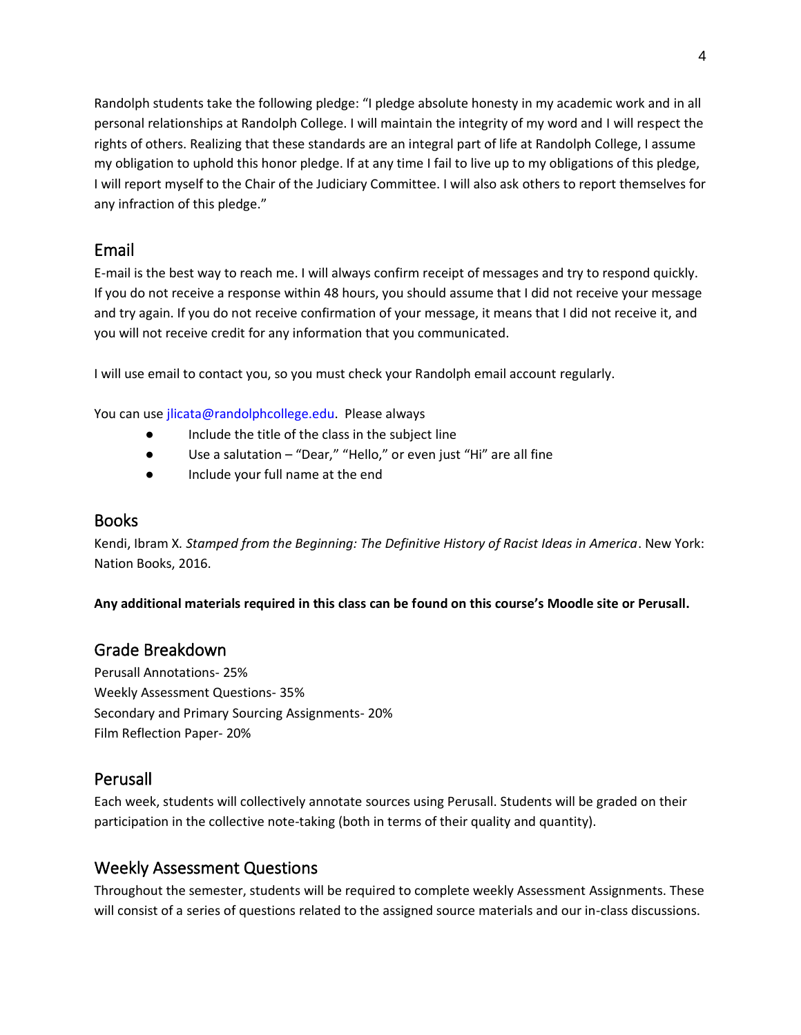Randolph students take the following pledge: "I pledge absolute honesty in my academic work and in all personal relationships at Randolph College. I will maintain the integrity of my word and I will respect the rights of others. Realizing that these standards are an integral part of life at Randolph College, I assume my obligation to uphold this honor pledge. If at any time I fail to live up to my obligations of this pledge, I will report myself to the Chair of the Judiciary Committee. I will also ask others to report themselves for any infraction of this pledge."

### Email

E-mail is the best way to reach me. I will always confirm receipt of messages and try to respond quickly. If you do not receive a response within 48 hours, you should assume that I did not receive your message and try again. If you do not receive confirmation of your message, it means that I did not receive it, and you will not receive credit for any information that you communicated.

I will use email to contact you, so you must check your Randolph email account regularly.

You can use jlicata@randolphcollege.edu. Please always

- Include the title of the class in the subject line
- Use a salutation "Dear," "Hello," or even just "Hi" are all fine
- Include your full name at the end

#### Books

Kendi, Ibram X*. Stamped from the Beginning: The Definitive History of Racist Ideas in America*. New York: Nation Books, 2016.

**Any additional materials required in this class can be found on this course's Moodle site or Perusall.** 

### Grade Breakdown

Perusall Annotations- 25% Weekly Assessment Questions- 35% Secondary and Primary Sourcing Assignments- 20% Film Reflection Paper- 20%

#### Perusall

Each week, students will collectively annotate sources using Perusall. Students will be graded on their participation in the collective note-taking (both in terms of their quality and quantity).

### Weekly Assessment Questions

Throughout the semester, students will be required to complete weekly Assessment Assignments. These will consist of a series of questions related to the assigned source materials and our in-class discussions.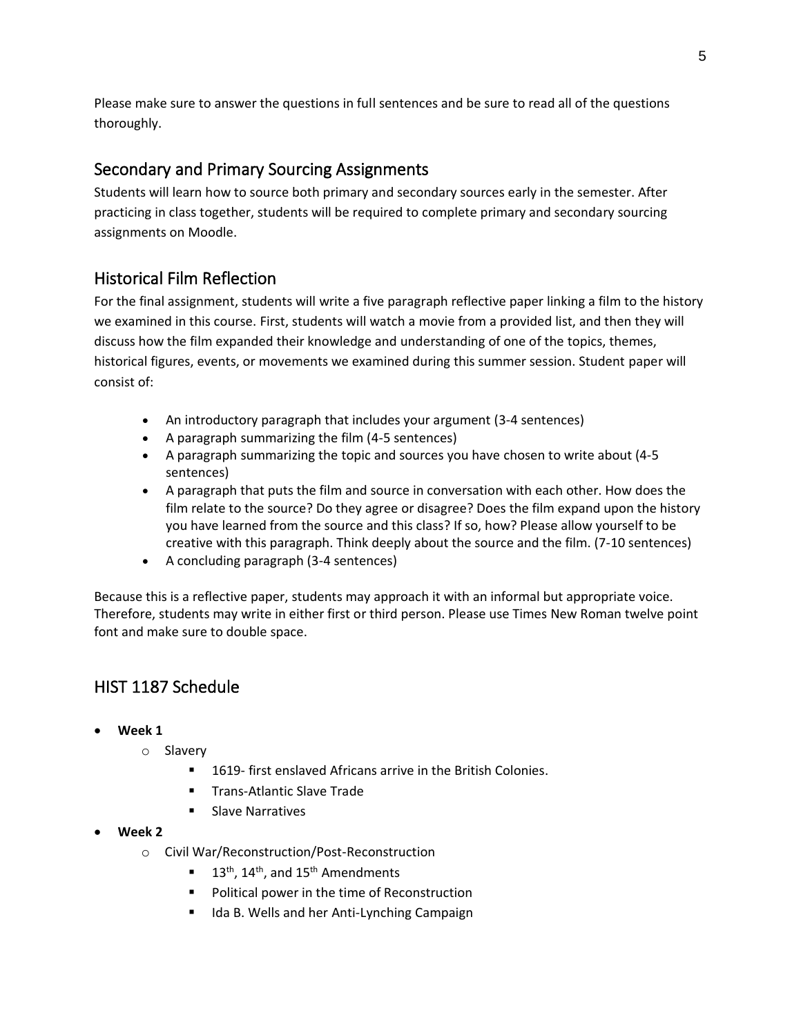Please make sure to answer the questions in full sentences and be sure to read all of the questions thoroughly.

### Secondary and Primary Sourcing Assignments

Students will learn how to source both primary and secondary sources early in the semester. After practicing in class together, students will be required to complete primary and secondary sourcing assignments on Moodle.

## Historical Film Reflection

For the final assignment, students will write a five paragraph reflective paper linking a film to the history we examined in this course. First, students will watch a movie from a provided list, and then they will discuss how the film expanded their knowledge and understanding of one of the topics, themes, historical figures, events, or movements we examined during this summer session. Student paper will consist of:

- An introductory paragraph that includes your argument (3-4 sentences)
- A paragraph summarizing the film (4-5 sentences)
- A paragraph summarizing the topic and sources you have chosen to write about (4-5 sentences)
- A paragraph that puts the film and source in conversation with each other. How does the film relate to the source? Do they agree or disagree? Does the film expand upon the history you have learned from the source and this class? If so, how? Please allow yourself to be creative with this paragraph. Think deeply about the source and the film. (7-10 sentences)
- A concluding paragraph (3-4 sentences)

Because this is a reflective paper, students may approach it with an informal but appropriate voice. Therefore, students may write in either first or third person. Please use Times New Roman twelve point font and make sure to double space.

# HIST 1187 Schedule

- **Week 1**
	- o Slavery
		- 1619- first enslaved Africans arrive in the British Colonies.
		- Trans-Atlantic Slave Trade
		- **Slave Narratives**
- **Week 2**
	- o Civil War/Reconstruction/Post-Reconstruction
		- $\blacksquare$  13<sup>th</sup>, 14<sup>th</sup>, and 15<sup>th</sup> Amendments
		- Political power in the time of Reconstruction
		- Ida B. Wells and her Anti-Lynching Campaign